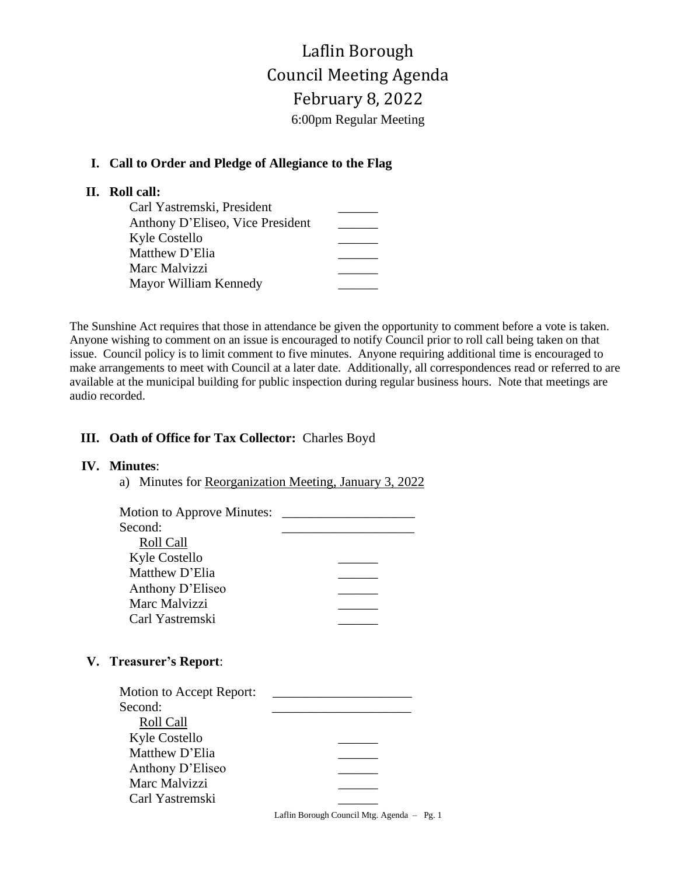# Laflin Borough Council Meeting Agenda February 8, 2022 6:00pm Regular Meeting

## **I. Call to Order and Pledge of Allegiance to the Flag**

#### **II. Roll call:**

| Carl Yastremski, President       |  |
|----------------------------------|--|
| Anthony D'Eliseo, Vice President |  |
| Kyle Costello                    |  |
| Matthew D'Elia                   |  |
| Marc Malvizzi                    |  |
| Mayor William Kennedy            |  |

The Sunshine Act requires that those in attendance be given the opportunity to comment before a vote is taken. Anyone wishing to comment on an issue is encouraged to notify Council prior to roll call being taken on that issue. Council policy is to limit comment to five minutes. Anyone requiring additional time is encouraged to make arrangements to meet with Council at a later date. Additionally, all correspondences read or referred to are available at the municipal building for public inspection during regular business hours. Note that meetings are audio recorded.

#### **III. Oath of Office for Tax Collector:** Charles Boyd

#### **IV. Minutes**:

a) Minutes for Reorganization Meeting, January 3, 2022

| Motion to Approve Minutes: |                                            |
|----------------------------|--------------------------------------------|
| Second:                    |                                            |
| Roll Call                  |                                            |
| Kyle Costello              |                                            |
| Matthew D'Elia             |                                            |
| Anthony D'Eliseo           |                                            |
| Marc Malvizzi              |                                            |
| Carl Yastremski            |                                            |
| V. Treasurer's Report:     |                                            |
|                            |                                            |
| Motion to Accept Report:   |                                            |
| Second:                    |                                            |
| Roll Call                  |                                            |
| <b>Kyle Costello</b>       |                                            |
| Matthew D'Elia             |                                            |
| Anthony D'Eliseo           |                                            |
| Marc Malvizzi              |                                            |
| Carl Yastremski            |                                            |
|                            | Laflin Borough Council Mtg. Agenda - Pg. 1 |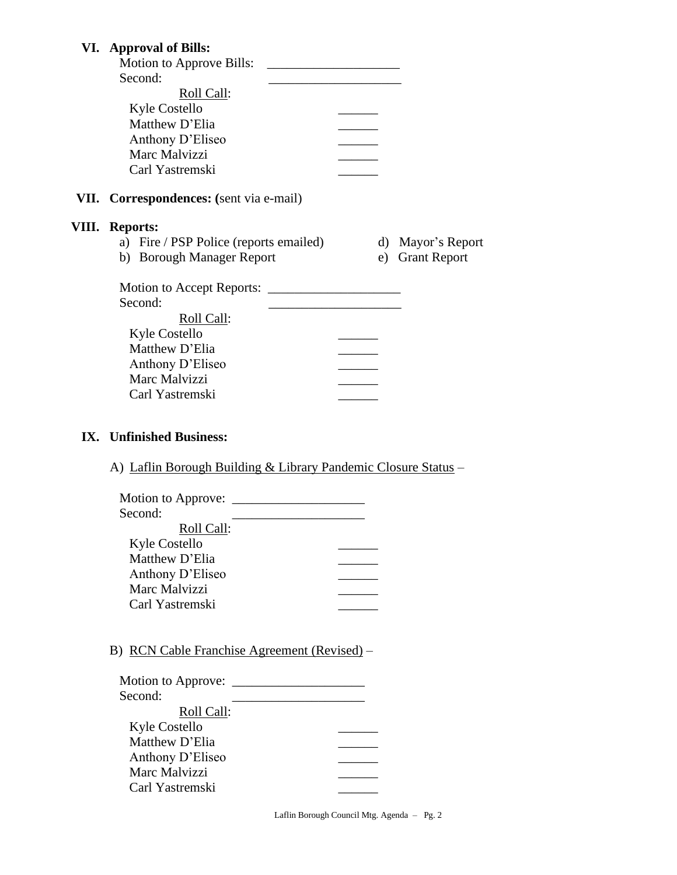| VI. Approval of Bills:<br>Motion to Approve Bills:<br>Second:<br>Roll Call:<br>Kyle Costello<br>Matthew D'Elia<br>Anthony D'Eliseo<br>Marc Malvizzi<br>Carl Yastremski             |                                                |
|------------------------------------------------------------------------------------------------------------------------------------------------------------------------------------|------------------------------------------------|
| VII. Correspondences: (sent via e-mail)                                                                                                                                            |                                                |
| <b>VIII.</b> Reports:<br>a) Fire / PSP Police (reports emailed)<br>b) Borough Manager Report<br>Motion to Accept Reports:<br>Second:<br>Roll Call:<br>Kyle Costello                | d) Mayor's Report<br><b>Grant Report</b><br>e) |
| Matthew D'Elia<br>Anthony D'Eliseo<br>Marc Malvizzi<br>Carl Yastremski                                                                                                             |                                                |
| IX. Unfinished Business:                                                                                                                                                           |                                                |
| A) Laflin Borough Building & Library Pandemic Closure Status –<br>Second:<br>Roll Call:<br>Kyle Costello<br>Matthew D'Elia<br>Anthony D'Eliseo<br>Marc Malvizzi<br>Carl Yastremski |                                                |
| B) RCN Cable Franchise Agreement (Revised) –<br>Second:<br>Roll Call:<br>Kyle Costello<br>Matthew D'Elia<br>Anthony D'Eliseo<br>Marc Malvizzi<br>Carl Yastremski                   | Laflin Borough Council Mtg. Agenda - Pg. 2     |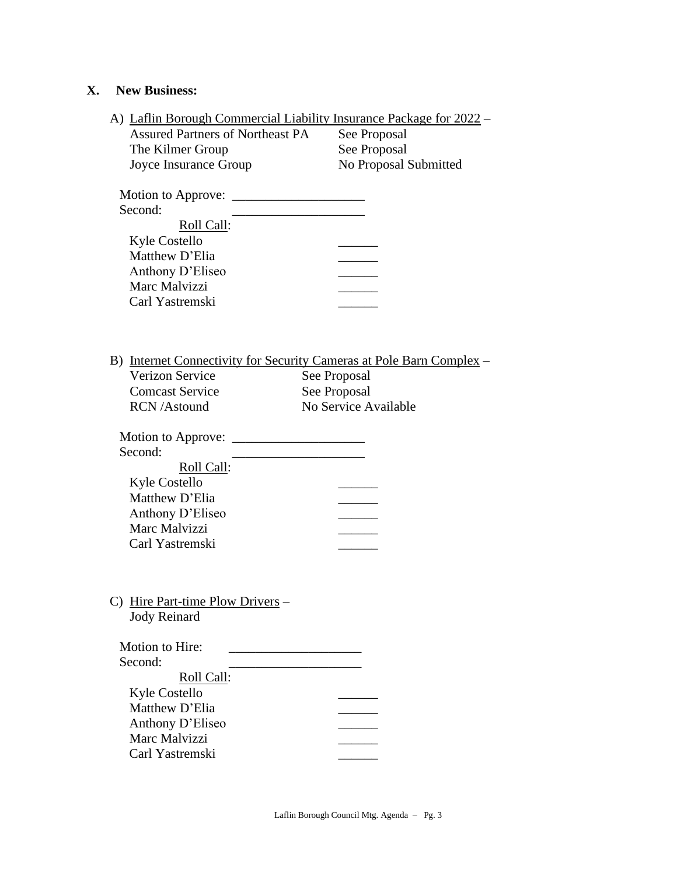# **X. New Business:**

|                                                                    | A) Laflin Borough Commercial Liability Insurance Package for 2022 – |  |  |  |
|--------------------------------------------------------------------|---------------------------------------------------------------------|--|--|--|
| <b>Assured Partners of Northeast PA</b>                            | See Proposal                                                        |  |  |  |
| The Kilmer Group                                                   | See Proposal                                                        |  |  |  |
| Joyce Insurance Group                                              | No Proposal Submitted                                               |  |  |  |
|                                                                    |                                                                     |  |  |  |
|                                                                    |                                                                     |  |  |  |
| Second:                                                            |                                                                     |  |  |  |
| Roll Call:                                                         |                                                                     |  |  |  |
| <b>Kyle Costello</b>                                               |                                                                     |  |  |  |
| Matthew D'Elia                                                     |                                                                     |  |  |  |
| Anthony D'Eliseo                                                   |                                                                     |  |  |  |
| Marc Malvizzi                                                      |                                                                     |  |  |  |
| Carl Yastremski                                                    |                                                                     |  |  |  |
|                                                                    |                                                                     |  |  |  |
|                                                                    |                                                                     |  |  |  |
|                                                                    |                                                                     |  |  |  |
| B) Internet Connectivity for Security Cameras at Pole Barn Complex |                                                                     |  |  |  |
| <b>Verizon Service</b>                                             | See Proposal                                                        |  |  |  |
| <b>Comcast Service</b>                                             |                                                                     |  |  |  |
| <b>RCN</b> /Astound                                                | See Proposal<br>No Service Available                                |  |  |  |
|                                                                    |                                                                     |  |  |  |
|                                                                    |                                                                     |  |  |  |
|                                                                    |                                                                     |  |  |  |
| Second:                                                            |                                                                     |  |  |  |
| Roll Call:                                                         |                                                                     |  |  |  |
| Kyle Costello                                                      |                                                                     |  |  |  |
| Matthew D'Elia                                                     |                                                                     |  |  |  |
| Anthony D'Eliseo                                                   |                                                                     |  |  |  |
| Marc Malvizzi                                                      |                                                                     |  |  |  |
| Carl Yastremski                                                    |                                                                     |  |  |  |
|                                                                    |                                                                     |  |  |  |
|                                                                    |                                                                     |  |  |  |
|                                                                    |                                                                     |  |  |  |
| C) Hire Part-time Plow Drivers $-$                                 |                                                                     |  |  |  |
| <b>Jody Reinard</b>                                                |                                                                     |  |  |  |
|                                                                    |                                                                     |  |  |  |
| Motion to Hire:                                                    |                                                                     |  |  |  |
| Second:                                                            |                                                                     |  |  |  |
| Roll Call:                                                         |                                                                     |  |  |  |
| Kyle Costello                                                      |                                                                     |  |  |  |
| Matthew D'Elia                                                     |                                                                     |  |  |  |
| Anthony D'Eliseo                                                   |                                                                     |  |  |  |
| Marc Malvizzi                                                      |                                                                     |  |  |  |
| Carl Yastremski                                                    |                                                                     |  |  |  |
|                                                                    |                                                                     |  |  |  |